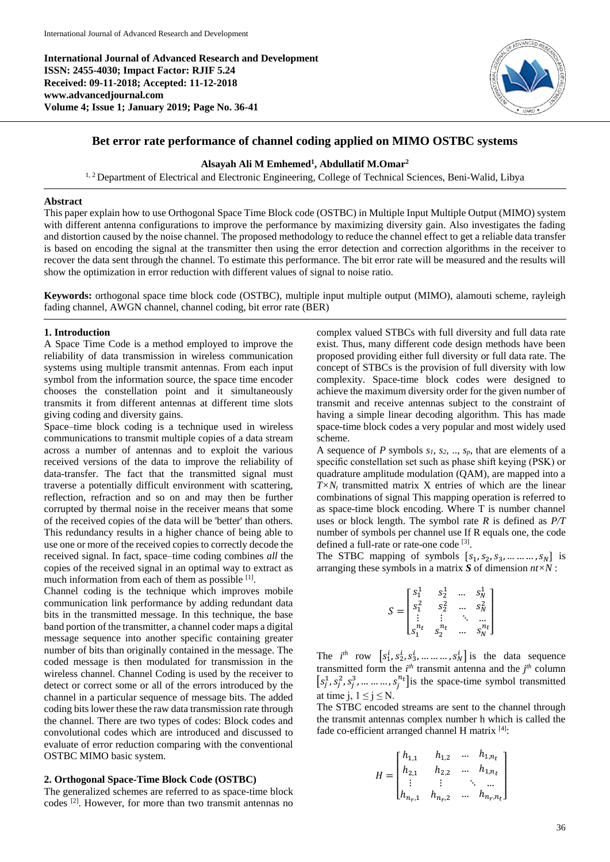**International Journal of Advanced Research and Development ISSN: 2455-4030; Impact Factor: RJIF 5.24 Received: 09-11-2018; Accepted: 11-12-2018 www.advancedjournal.com Volume 4; Issue 1; January 2019; Page No. 36-41**



# **Bet error rate performance of channel coding applied on MIMO OSTBC systems**

### **Alsayah Ali M Emhemed<sup>1</sup> , Abdullatif M.Omar<sup>2</sup>**

<sup>1, 2</sup> Department of Electrical and Electronic Engineering, College of Technical Sciences, Beni-Walid, Libya

#### **Abstract**

This paper explain how to use Orthogonal Space Time Block code (OSTBC) in Multiple Input Multiple Output (MIMO) system with different antenna configurations to improve the performance by maximizing diversity gain. Also investigates the fading and distortion caused by the noise channel. The proposed methodology to reduce the channel effect to get a reliable data transfer is based on encoding the signal at the transmitter then using the error detection and correction algorithms in the receiver to recover the data sent through the channel. To estimate this performance. The bit error rate will be measured and the results will show the optimization in error reduction with different values of signal to noise ratio.

**Keywords:** orthogonal space time block code (OSTBC), multiple input multiple output (MIMO), alamouti scheme, rayleigh fading channel, AWGN channel, channel coding, bit error rate (BER)

#### **1. Introduction**

A Space Time Code is a method employed to improve the reliability of data transmission in wireless communication systems using multiple transmit antennas. From each input symbol from the information source, the space time encoder chooses the constellation point and it simultaneously transmits it from different antennas at different time slots giving coding and diversity gains.

Space–time block coding is a technique used in wireless communications to transmit multiple copies of a data stream across a number of antennas and to exploit the various received versions of the data to improve the reliability of data-transfer. The fact that the transmitted signal must traverse a potentially difficult environment with scattering, reflection, refraction and so on and may then be further corrupted by thermal noise in the receiver means that some of the received copies of the data will be 'better' than others. This redundancy results in a higher chance of being able to use one or more of the received copies to correctly decode the received signal. In fact, space–time coding combines *all* the copies of the received signal in an optimal way to extract as much information from each of them as possible [1].

Channel coding is the technique which improves mobile communication link performance by adding redundant data bits in the transmitted message. In this technique, the base band portion of the transmitter, a channel coder maps a digital message sequence into another specific containing greater number of bits than originally contained in the message. The coded message is then modulated for transmission in the wireless channel. Channel Coding is used by the receiver to detect or correct some or all of the errors introduced by the channel in a particular sequence of message bits. The added coding bits lower these the raw data transmission rate through the channel. There are two types of codes: Block codes and convolutional codes which are introduced and discussed to evaluate of error reduction comparing with the conventional OSTBC MIMO basic system.

#### **2. Orthogonal Space-Time Block Code (OSTBC)**

The generalized schemes are referred to as space-time block codes [2]. However, for more than two transmit antennas no complex valued STBCs with full diversity and full data rate exist. Thus, many different code design methods have been proposed providing either full diversity or full data rate. The concept of STBCs is the provision of full diversity with low complexity. Space-time block codes were designed to achieve the maximum diversity order for the given number of transmit and receive antennas subject to the constraint of having a simple linear decoding algorithm. This has made space-time block codes a very popular and most widely used scheme.

A sequence of *P* symbols *s1, s2,* .., *sp*, that are elements of a specific constellation set such as phase shift keying (PSK) or quadrature amplitude modulation (QAM), are mapped into a  $T \times N_t$  transmitted matrix X entries of which are the linear combinations of signal This mapping operation is referred to as space-time block encoding. Where T is number channel uses or block length. The symbol rate *R* is defined as *P/T*  number of symbols per channel use If R equals one, the code defined a full-rate or rate-one code [3].

The STBC mapping of symbols  $[s_1, s_2, s_3, \dots, s_N]$  is arranging these symbols in a matrix *S* of dimension *nt×N* :

$$
S = \begin{bmatrix} s_1^1 & s_2^1 & \dots & s_N^1 \\ s_1^2 & s_2^2 & \dots & s_N^2 \\ \vdots & \vdots & \ddots & \vdots \\ s_1^{n_t} & s_2^{n_t} & \dots & s_N^{n_t} \end{bmatrix}
$$

The  $i^{th}$  row  $\left[s_1^i, s_2^i, s_3^i, \dots, s_N^i\right]$  is the data sequence transmitted form the  $i^{th}$  transmit antenna and the  $j^{th}$  column  $[s_j^1, s_j^2, s_j^3, \dots, s_j^{n_t}]$  is the space-time symbol transmitted at time j,  $1 \le j \le N$ .

The STBC encoded streams are sent to the channel through the transmit antennas complex number h which is called the fade co-efficient arranged channel H matrix [4]:

$$
H = \begin{bmatrix} h_{1,1} & h_{1,2} & \dots & h_{1,n_t} \\ h_{2,1} & h_{2,2} & \dots & h_{1,n_t} \\ \vdots & \vdots & \ddots & \vdots \\ h_{n_r,1} & h_{n_r,2} & \dots & h_{n_r,n_t} \end{bmatrix}
$$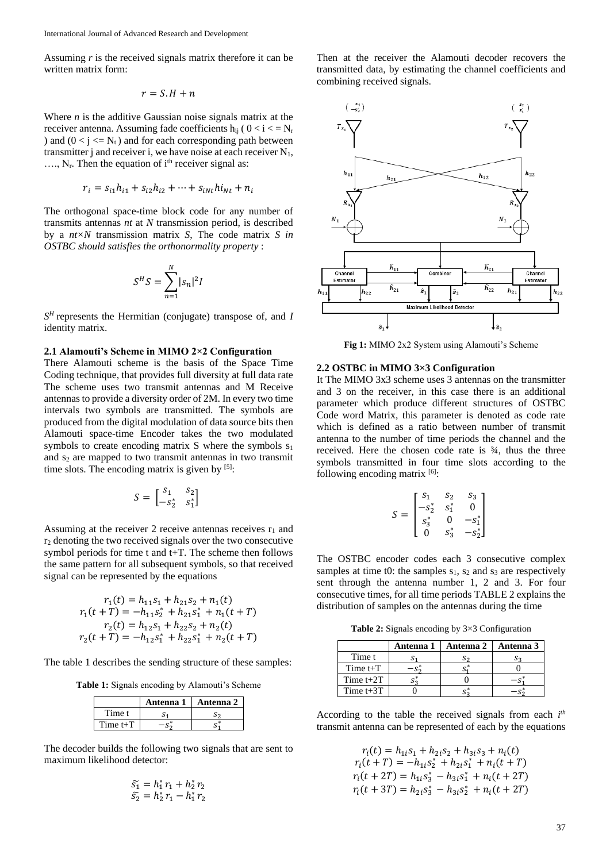Assuming *r* is the received signals matrix therefore it can be written matrix form:

$$
r = S.H + n
$$

Where *n* is the additive Gaussian noise signals matrix at the receiver antenna. Assuming fade coefficients  $h_{ij}$  (  $0 < i < N_r$ ) and  $(0 < j < N<sub>t</sub>)$  and for each corresponding path between transmitter j and receiver i, we have noise at each receiver  $N_1$ ,  $..., N_r$ . Then the equation of i<sup>th</sup> receiver signal as:

$$
r_i = s_{i1}h_{i1} + s_{i2}h_{i2} + \dots + s_{iNt}h_{Nt} + n_i
$$

The orthogonal space-time block code for any number of transmits antennas *nt* at *N* transmission period, is described by a *nt×N* transmission matrix *S*, The code matrix *S in OSTBC should satisfies the orthonormality property* :

$$
S^H S = \sum_{n=1}^N |s_n|^2 I
$$

*S <sup>H</sup>*represents the Hermitian (conjugate) transpose of, and *I* identity matrix.

#### **2.1 Alamouti's Scheme in MIMO 2×2 Configuration**

There Alamouti scheme is the basis of the Space Time Coding technique, that provides full diversity at full data rate The scheme uses two transmit antennas and M Receive antennas to provide a diversity order of 2M. In every two time intervals two symbols are transmitted. The symbols are produced from the digital modulation of data source bits then Alamouti space-time Encoder takes the two modulated symbols to create encoding matrix S where the symbols  $s_1$ and s<sub>2</sub> are mapped to two transmit antennas in two transmit time slots. The encoding matrix is given by  $[5]$ :

$$
S = \begin{bmatrix} S_1 & S_2 \\ -S_2^* & S_1^* \end{bmatrix}
$$

Assuming at the receiver 2 receive antennas receives  $r_1$  and r<sup>2</sup> denoting the two received signals over the two consecutive symbol periods for time t and t+T. The scheme then follows the same pattern for all subsequent symbols, so that received signal can be represented by the equations

$$
r_1(t) = h_{11}s_1 + h_{21}s_2 + n_1(t)
$$
  
\n
$$
r_1(t+T) = -h_{11}s_2^* + h_{21}s_1^* + n_1(t+T)
$$
  
\n
$$
r_2(t) = h_{12}s_1 + h_{22}s_2 + n_2(t)
$$
  
\n
$$
r_2(t+T) = -h_{12}s_1^* + h_{22}s_1^* + n_2(t+T)
$$

The table 1 describes the sending structure of these samples:

**Table 1:** Signals encoding by Alamouti's Scheme

|              | Antenna 1 | Antenna 2 |
|--------------|-----------|-----------|
| Time t       |           |           |
| Time $t + T$ |           |           |

The decoder builds the following two signals that are sent to maximum likelihood detector:

$$
\begin{aligned}\n\tilde{s_1} &= h_1^* r_1 + h_2^* r_2 \\
\tilde{s_2} &= h_2^* r_1 - h_1^* r_2\n\end{aligned}
$$

Then at the receiver the Alamouti decoder recovers the transmitted data, by estimating the channel coefficients and combining received signals.



**Fig 1:** MIMO 2x2 System using Alamouti's Scheme

# **2.2 OSTBC in MIMO 3×3 Configuration**

It The MIMO 3x3 scheme uses 3 antennas on the transmitter and 3 on the receiver, in this case there is an additional parameter which produce different structures of OSTBC Code word Matrix, this parameter is denoted as code rate which is defined as a ratio between number of transmit antenna to the number of time periods the channel and the received. Here the chosen code rate is ¾, thus the three symbols transmitted in four time slots according to the following encoding matrix  $[6]$ :

$$
S = \begin{bmatrix} s_1 & s_2 & s_3 \\ -s_2^* & s_1^* & 0 \\ s_3^* & 0 & -s_1^* \\ 0 & s_3^* & -s_2^* \end{bmatrix}
$$

The OSTBC encoder codes each 3 consecutive complex samples at time t0: the samples  $s_1$ ,  $s_2$  and  $s_3$  are respectively sent through the antenna number 1, 2 and 3. For four consecutive times, for all time periods TABLE 2 explains the distribution of samples on the antennas during the time

**Table 2:** Signals encoding by 3×3 Configuration

|             | Antenna 1 | Antenna 2 | Antenna 3 |
|-------------|-----------|-----------|-----------|
| Time t      | S         |           |           |
| Time $t+T$  |           |           |           |
| Time $t+2T$ |           |           |           |
| Time $t+3T$ |           |           |           |

According to the table the received signals from each *i th* transmit antenna can be represented of each by the equations

> $r_i(t) = h_{1i} s_1 + h_{2i} s_2 + h_{3i} s_3 + n_i(t)$  $r_i(t+T) = -h_{1i} s_2^* + h_{2i} s_1^* + n_i(t+T)$  $r_i(t + 2T) = h_{1i} s_3^* - h_{3i} s_1^* + n_i(t + 2T)$  $r_i(t + 3T) = h_{2i} s_3^* - h_{3i} s_2^* + n_i(t + 2T)$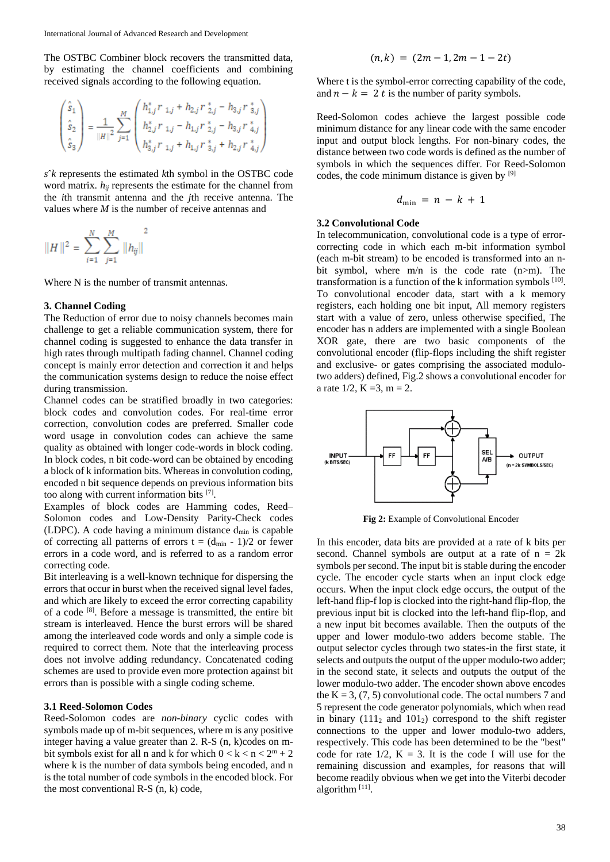The OSTBC Combiner block recovers the transmitted data, by estimating the channel coefficients and combining received signals according to the following equation.

$$
\begin{pmatrix} \hat{s}_1 \\ \hat{s}_2 \\ \hat{s}_3 \end{pmatrix} = \frac{1}{\|H\|^2} \sum_{j=1}^M \begin{pmatrix} h_{1,j}^* \, r_{1,j} + h_{2,j} \, r_{2,j}^* - h_{3,j} \, r_{3,j}^* \\ h_{2,j}^* \, r_{1,j} - h_{1,j} \, r_{2,j}^* - h_{3,j} \, r_{4,j}^* \\ h_{3,j}^* \, r_{1,j} + h_{1,j} \, r_{3,j}^* + h_{2,j} \, r_{4,j}^* \end{pmatrix}
$$

*s*ˆ*k* represents the estimated *k*th symbol in the OSTBC code word matrix.  $h_{ij}$  represents the estimate for the channel from the *i*th transmit antenna and the *j*th receive antenna. The values where *M* is the number of receive antennas and

$$
||H||^2 = \sum_{i=1}^N \sum_{j=1}^M ||h_{ij}||^2
$$

Where N is the number of transmit antennas.

### **3. Channel Coding**

The Reduction of error due to noisy channels becomes main challenge to get a reliable communication system, there for channel coding is suggested to enhance the data transfer in high rates through multipath fading channel. Channel coding concept is mainly error detection and correction it and helps the communication systems design to reduce the noise effect during transmission.

Channel codes can be stratified broadly in two categories: block codes and convolution codes. For real-time error correction, convolution codes are preferred. Smaller code word usage in convolution codes can achieve the same quality as obtained with longer code-words in block coding. In block codes, n bit code-word can be obtained by encoding a block of k information bits. Whereas in convolution coding, encoded n bit sequence depends on previous information bits too along with current information bits [7] .

Examples of block codes are Hamming codes, Reed– Solomon codes and Low-Density Parity-Check codes (LDPC). A code having a minimum distance  $d_{min}$  is capable of correcting all patterns of errors  $t = (d_{min} - 1)/2$  or fewer errors in a code word, and is referred to as a random error correcting code.

Bit interleaving is a well-known technique for dispersing the errors that occur in burst when the received signal level fades, and which are likely to exceed the error correcting capability of a code [8]. Before a message is transmitted, the entire bit stream is interleaved. Hence the burst errors will be shared among the interleaved code words and only a simple code is required to correct them. Note that the interleaving process does not involve adding redundancy. Concatenated coding schemes are used to provide even more protection against bit errors than is possible with a single coding scheme.

### **3.1 Reed-Solomon Codes**

Reed-Solomon codes are *non-binary* cyclic codes with symbols made up of m-bit sequences, where m is any positive integer having a value greater than 2. R-S (n, k)codes on mbit symbols exist for all n and k for which  $0 < k < n < 2<sup>m</sup> + 2$ where k is the number of data symbols being encoded, and n is the total number of code symbols in the encoded block. For the most conventional R-S (n, k) code,

$$
(n,k) = (2m-1, 2m-1-2t)
$$

Where t is the symbol-error correcting capability of the code, and  $n - k = 2 t$  is the number of parity symbols.

Reed-Solomon codes achieve the largest possible code minimum distance for any linear code with the same encoder input and output block lengths. For non-binary codes, the distance between two code words is defined as the number of symbols in which the sequences differ. For Reed-Solomon codes, the code minimum distance is given by [9]

$$
d_{\min} = n - k + 1
$$

# **3.2 Convolutional Code**

In telecommunication, convolutional code is a type of errorcorrecting code in which each m-bit information symbol (each m-bit stream) to be encoded is transformed into an nbit symbol, where m/n is the code rate (n>m). The transformation is a function of the  $k$  information symbols  $[10]$ . To convolutional encoder data, start with a k memory registers, each holding one bit input, All memory registers start with a value of zero, unless otherwise specified, The encoder has n adders are implemented with a single Boolean XOR gate, there are two basic components of the convolutional encoder (flip-flops including the shift register and exclusive- or gates comprising the associated modulotwo adders) defined, Fig.2 shows a convolutional encoder for a rate  $1/2$ ,  $K = 3$ ,  $m = 2$ .



**Fig 2:** Example of Convolutional Encoder

In this encoder, data bits are provided at a rate of k bits per second. Channel symbols are output at a rate of  $n = 2k$ symbols per second. The input bit is stable during the encoder cycle. The encoder cycle starts when an input clock edge occurs. When the input clock edge occurs, the output of the left-hand flip-f lop is clocked into the right-hand flip-flop, the previous input bit is clocked into the left-hand flip-flop, and a new input bit becomes available. Then the outputs of the upper and lower modulo-two adders become stable. The output selector cycles through two states-in the first state, it selects and outputs the output of the upper modulo-two adder; in the second state, it selects and outputs the output of the lower modulo-two adder. The encoder shown above encodes the  $K = 3$ , (7, 5) convolutional code. The octal numbers 7 and 5 represent the code generator polynomials, which when read in binary  $(111<sub>2</sub>$  and  $101<sub>2</sub>)$  correspond to the shift register connections to the upper and lower modulo-two adders, respectively. This code has been determined to be the "best" code for rate  $1/2$ ,  $K = 3$ . It is the code I will use for the remaining discussion and examples, for reasons that will become readily obvious when we get into the Viterbi decoder algorithm<sup>[11]</sup>.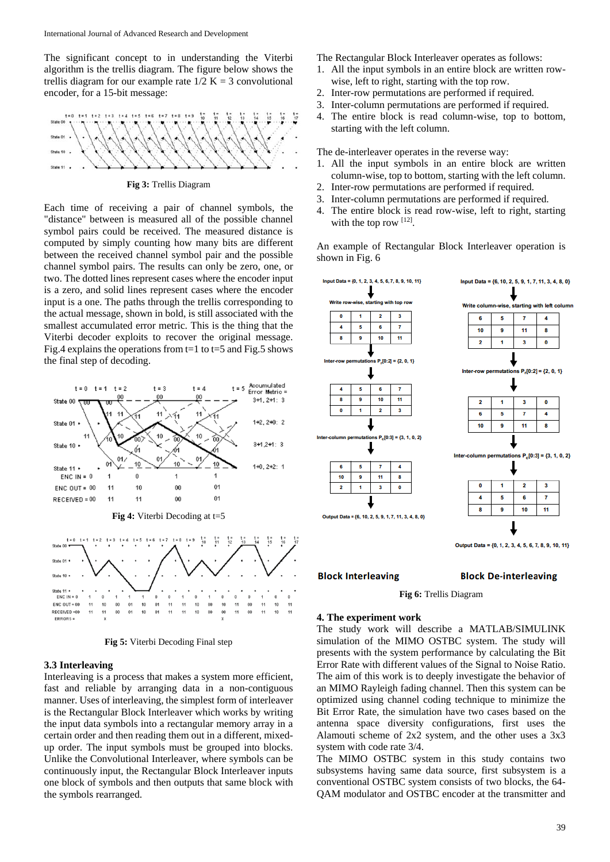The significant concept to in understanding the Viterbi algorithm is the trellis diagram. The figure below shows the trellis diagram for our example rate  $1/2$  K = 3 convolutional encoder, for a 15-bit message:



**Fig 3:** Trellis Diagram

Each time of receiving a pair of channel symbols, the "distance" between is measured all of the possible channel symbol pairs could be received. The measured distance is computed by simply counting how many bits are different between the received channel symbol pair and the possible channel symbol pairs. The results can only be zero, one, or two. The dotted lines represent cases where the encoder input is a zero, and solid lines represent cases where the encoder input is a one. The paths through the trellis corresponding to the actual message, shown in bold, is still associated with the smallest accumulated error metric. This is the thing that the Viterbi decoder exploits to recover the original message. Fig.4 explains the operations from  $t=1$  to  $t=5$  and Fig.5 shows the final step of decoding.



**Fig 5:** Viterbi Decoding Final step

#### **3.3 Interleaving**

Interleaving is a process that makes a system more efficient, fast and reliable by arranging data in a non-contiguous manner. Uses of interleaving, the simplest form of interleaver is the Rectangular Block Interleaver which works by writing the input data symbols into a rectangular memory array in a certain order and then reading them out in a different, mixedup order. The input symbols must be grouped into blocks. Unlike the Convolutional Interleaver, where symbols can be continuously input, the Rectangular Block Interleaver inputs one block of symbols and then outputs that same block with the symbols rearranged.

The Rectangular Block Interleaver operates as follows:

- 1. All the input symbols in an entire block are written rowwise, left to right, starting with the top row.
- 2. Inter-row permutations are performed if required.
- 3. Inter-column permutations are performed if required.
- 4. The entire block is read column-wise, top to bottom, starting with the left column.

The de-interleaver operates in the reverse way:

- 1. All the input symbols in an entire block are written column-wise, top to bottom, starting with the left column.
- 2. Inter-row permutations are performed if required.
- 3. Inter-column permutations are performed if required.
- 4. The entire block is read row-wise, left to right, starting with the top row  $[12]$ .

An example of Rectangular Block Interleaver operation is shown in Fig. 6



## **Block Interleaving**

#### **Block De-interleaving**

**Fig 6:** Trellis Diagram

#### **4. The experiment work**

The study work will describe a MATLAB/SIMULINK simulation of the MIMO OSTBC system. The study will presents with the system performance by calculating the Bit Error Rate with different values of the Signal to Noise Ratio. The aim of this work is to deeply investigate the behavior of an MIMO Rayleigh fading channel. Then this system can be optimized using channel coding technique to minimize the Bit Error Rate, the simulation have two cases based on the antenna space diversity configurations, first uses the Alamouti scheme of 2x2 system, and the other uses a 3x3 system with code rate 3/4.

The MIMO OSTBC system in this study contains two subsystems having same data source, first subsystem is a conventional OSTBC system consists of two blocks, the 64- QAM modulator and OSTBC encoder at the transmitter and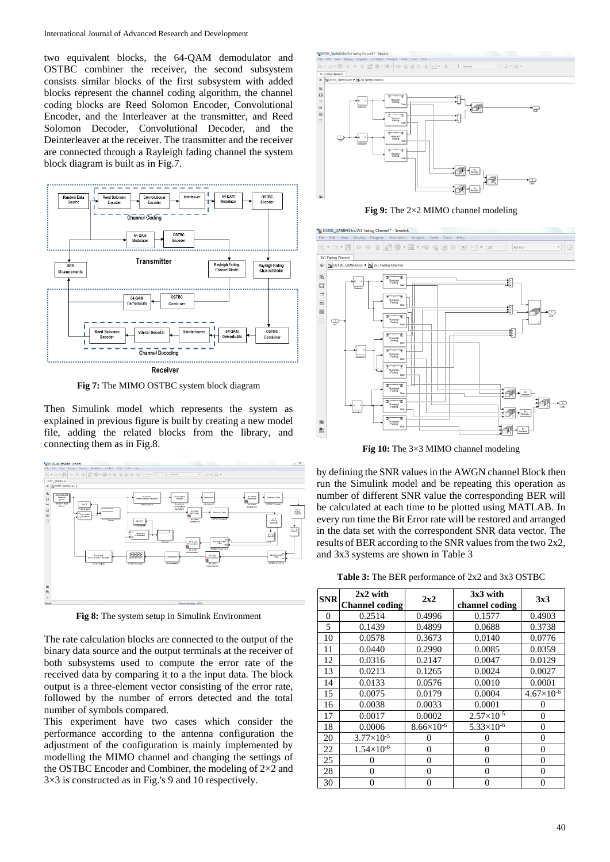two equivalent blocks, the 64-QAM demodulator and OSTBC combiner the receiver, the second subsystem consists similar blocks of the first subsystem with added blocks represent the channel coding algorithm, the channel coding blocks are Reed Solomon Encoder, Convolutional Encoder, and the Interleaver at the transmitter, and Reed Solomon Decoder, Convolutional Decoder, and the Deinterleaver at the receiver. The transmitter and the receiver are connected through a Rayleigh fading channel the system block diagram is built as in Fig.7.



**Fig 7:** The MIMO OSTBC system block diagram

Then Simulink model which represents the system as explained in previous figure is built by creating a new model file, adding the related blocks from the library, and connecting them as in Fig.8.



**Fig 8:** The system setup in Simulink Environment

The rate calculation blocks are connected to the output of the binary data source and the output terminals at the receiver of both subsystems used to compute the error rate of the received data by comparing it to a the input data. The block output is a three-element vector consisting of the error rate, followed by the number of errors detected and the total number of symbols compared.

This experiment have two cases which consider the performance according to the antenna configuration the adjustment of the configuration is mainly implemented by modelling the MIMO channel and changing the settings of the OSTBC Encoder and Combiner, the modeling of 2×2 and 3×3 is constructed as in Fig.'s 9 and 10 respectively.



**Fig 9:** The 2×2 MIMO channel modeling



**Fig 10:** The 3×3 MIMO channel modeling

by defining the SNR values in the AWGN channel Block then run the Simulink model and be repeating this operation as number of different SNR value the corresponding BER will be calculated at each time to be plotted using MATLAB. In every run time the Bit Error rate will be restored and arranged in the data set with the correspondent SNR data vector. The results of BER according to the SNR values from the two 2x2, and 3x3 systems are shown in Table 3

**Table 3:** The BER performance of 2x2 and 3x3 OSTBC

| <b>SNR</b> | $2x2$ with<br><b>Channel coding</b> | 2x2                 | $3x3$ with<br>channel coding | 3x3                 |
|------------|-------------------------------------|---------------------|------------------------------|---------------------|
| 0          | 0.2514                              | 0.4996              | 0.1577                       | 0.4903              |
| 5          | 0.1439                              | 0.4899              | 0.0688                       | 0.3738              |
| 10         | 0.0578                              | 0.3673              | 0.0140                       | 0.0776              |
| 11         | 0.0440                              | 0.2990              | 0.0085                       | 0.0359              |
| 12         | 0.0316                              | 0.2147              | 0.0047                       | 0.0129              |
| 13         | 0.0213                              | 0.1265              | 0.0024                       | 0.0027              |
| 14         | 0.0133                              | 0.0576              | 0.0010                       | 0.0001              |
| 15         | 0.0075                              | 0.0179              | 0.0004                       | $4.67\times10^{-6}$ |
| 16         | 0.0038                              | 0.0033              | 0.0001                       | 0                   |
| 17         | 0.0017                              | 0.0002              | $2.57\times10^{-5}$          | $\theta$            |
| 18         | 0.0006                              | $8.66\times10^{-6}$ | $5.33\times10^{-6}$          | $\theta$            |
| 20         | $3.77\times10^{-5}$                 | 0                   | 0                            | $\boldsymbol{0}$    |
| 22         | $1.54\times10^{-6}$                 | 0                   | $\theta$                     | $\boldsymbol{0}$    |
| 25         | 0                                   | $\Omega$            | $\theta$                     | $\theta$            |
| 28         | $\Omega$                            | $\Omega$            | $\Omega$                     | $\theta$            |
| 30         | 0                                   | 0                   | 0                            | 0                   |